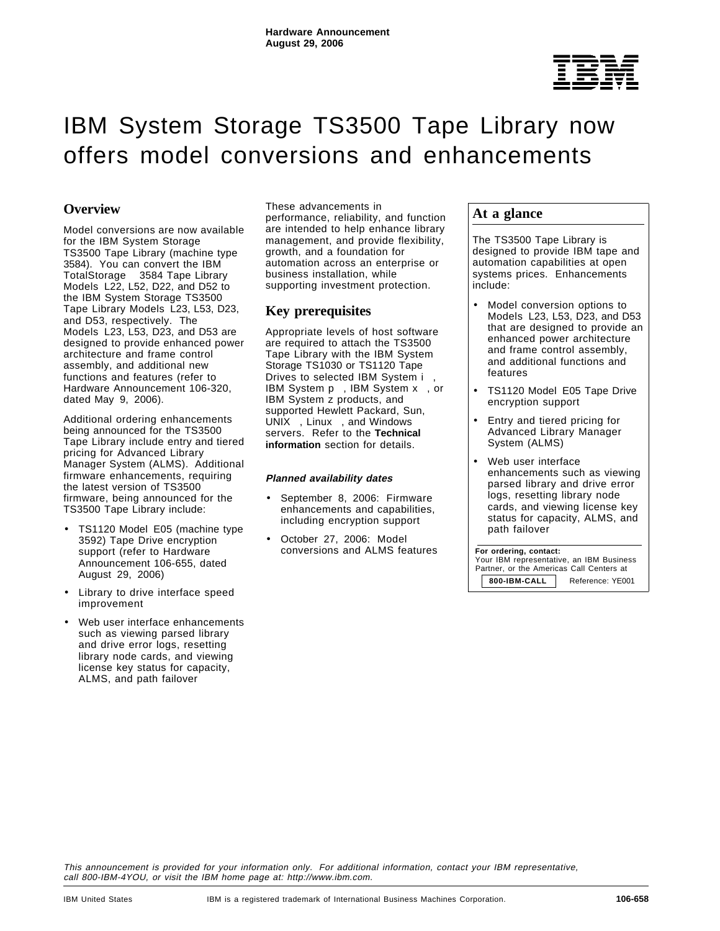

# IBM System Storage TS3500 Tape Library now offers model conversions and enhancements

# **Overview**

Model conversions are now available for the IBM System Storage™ TS3500 Tape Library (machine type 3584). You can convert the IBM TotalStorage<sup>®</sup> 3584 Tape Library Models L22, L52, D22, and D52 to the IBM System Storage TS3500 Tape Library Models L23, L53, D23, and D53, respectively. The Models L23, L53, D23, and D53 are designed to provide enhanced power architecture and frame control assembly, and additional new functions and features (refer to Hardware Announcement 106-320, dated May 9, 2006).

Additional ordering enhancements being announced for the TS3500 Tape Library include entry and tiered pricing for Advanced Library Manager System (ALMS). Additional firmware enhancements, requiring the latest version of TS3500 firmware, being announced for the TS3500 Tape Library include:

- TS1120 Model E05 (machine type 3592) Tape Drive encryption support (refer to Hardware Announcement 106-655, dated August 29, 2006)
- Library to drive interface speed improvement
- Web user interface enhancements such as viewing parsed library and drive error logs, resetting library node cards, and viewing license key status for capacity, ALMS, and path failover

These advancements in performance, reliability, and function are intended to help enhance library management, and provide flexibility, growth, and a foundation for automation across an enterprise or business installation, while supporting investment protection.

# **Key prerequisites**

Appropriate levels of host software are required to attach the TS3500 Tape Library with the IBM System Storage TS1030 or TS1120 Tape Drives to selected IBM System i™, IBM System p™, IBM System x™, or IBM System z products, and supported Hewlett Packard, Sun, UNIX<sup>®</sup>, Linux<sup>™</sup>, and Windows™ servers. Refer to the **Technical information** section for details.

## **Planned availability dates**

- September 8, 2006: Firmware enhancements and capabilities, including encryption support
- October 27, 2006: Model conversions and ALMS features

## **At a glance**

The TS3500 Tape Library is designed to provide IBM tape and automation capabilities at open systems prices. Enhancements include:

- Model conversion options to Models L23, L53, D23, and D53 that are designed to provide an enhanced power architecture and frame control assembly, and additional functions and features
- TS1120 Model E05 Tape Drive encryption support
- Entry and tiered pricing for Advanced Library Manager System (ALMS)
- Web user interface enhancements such as viewing parsed library and drive error logs, resetting library node cards, and viewing license key status for capacity, ALMS, and path failover

 **For ordering, contact:** Your IBM representative, an IBM Business Partner, or the Americas Call Centers at **800-IBM-CALL** Reference: YE001

This announcement is provided for your information only. For additional information, contact your IBM representative, call 800-IBM-4YOU, or visit the IBM home page at: http://www.ibm.com.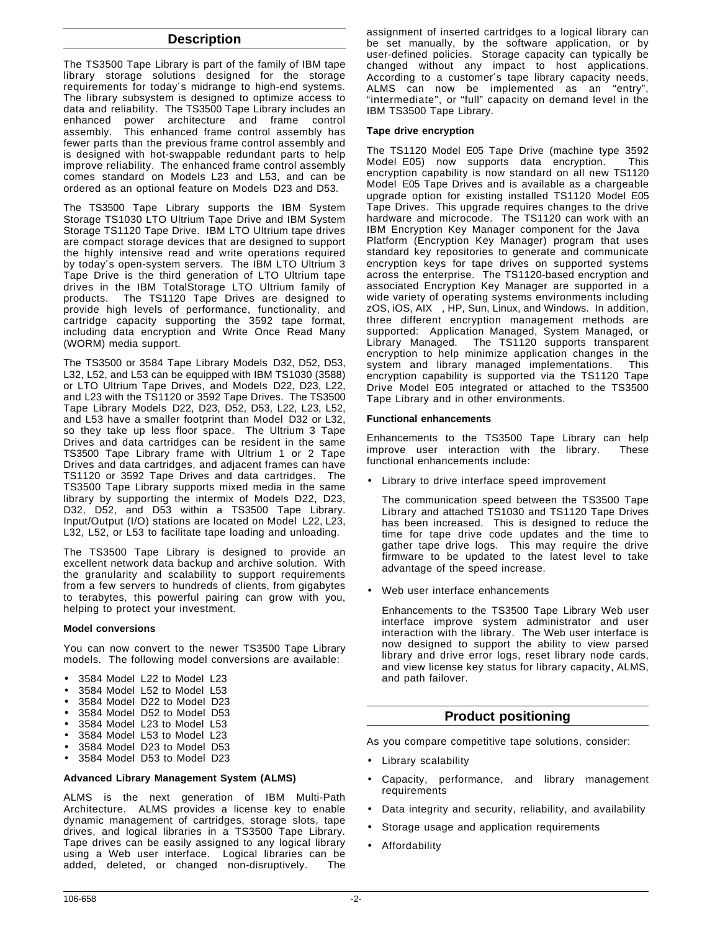## **Description**

The TS3500 Tape Library is part of the family of IBM tape library storage solutions designed for the storage requirements for today′s midrange to high-end systems. The library subsystem is designed to optimize access to data and reliability. The TS3500 Tape Library includes an enhanced power architecture and frame control assembly. This enhanced frame control assembly has fewer parts than the previous frame control assembly and is designed with hot-swappable redundant parts to help improve reliability. The enhanced frame control assembly comes standard on Models L23 and L53, and can be ordered as an optional feature on Models D23 and D53.

The TS3500 Tape Library supports the IBM System Storage TS1030 LTO Ultrium Tape Drive and IBM System Storage TS1120 Tape Drive. IBM LTO Ultrium tape drives are compact storage devices that are designed to support the highly intensive read and write operations required by today′s open-system servers. The IBM LTO Ultrium 3 Tape Drive is the third generation of LTO Ultrium tape drives in the IBM TotalStorage LTO Ultrium family of products. The TS1120 Tape Drives are designed to provide high levels of performance, functionality, and cartridge capacity supporting the 3592 tape format, including data encryption and Write Once Read Many (WORM) media support.

The TS3500 or 3584 Tape Library Models D32, D52, D53, L32, L52, and L53 can be equipped with IBM TS1030 (3588) or LTO Ultrium Tape Drives, and Models D22, D23, L22, and L23 with the TS1120 or 3592 Tape Drives. The TS3500 Tape Library Models D22, D23, D52, D53, L22, L23, L52, and L53 have a smaller footprint than Model D32 or L32, so they take up less floor space. The Ultrium 3 Tape Drives and data cartridges can be resident in the same TS3500 Tape Library frame with Ultrium 1 or 2 Tape Drives and data cartridges, and adjacent frames can have TS1120 or 3592 Tape Drives and data cartridges. The TS3500 Tape Library supports mixed media in the same library by supporting the intermix of Models D22, D23, D32, D52, and D53 within a TS3500 Tape Library. Input/Output (I/O) stations are located on Model L22, L23, L32, L52, or L53 to facilitate tape loading and unloading.

The TS3500 Tape Library is designed to provide an excellent network data backup and archive solution. With the granularity and scalability to support requirements from a few servers to hundreds of clients, from gigabytes to terabytes, this powerful pairing can grow with you, helping to protect your investment.

## **Model conversions**

You can now convert to the newer TS3500 Tape Library models. The following model conversions are available:

- 3584 Model L22 to Model L23
- 3584 Model L52 to Model L53
- 3584 Model D22 to Model D23
- 3584 Model D52 to Model D53
- 3584 Model L23 to Model L53
- 3584 Model L53 to Model L23
- 3584 Model D23 to Model D53
- 3584 Model D53 to Model D23

## **Advanced Library Management System (ALMS)**

ALMS is the next generation of IBM Multi-Path Architecture. ALMS provides a license key to enable dynamic management of cartridges, storage slots, tape drives, and logical libraries in a TS3500 Tape Library. Tape drives can be easily assigned to any logical library using a Web user interface. Logical libraries can be added, deleted, or changed non-disruptively. The

assignment of inserted cartridges to a logical library can be set manually, by the software application, or by user-defined policies. Storage capacity can typically be changed without any impact to host applications. According to a customer′s tape library capacity needs, ALMS can now be implemented as an "entry", "intermediate", or "full" capacity on demand level in the IBM TS3500 Tape Library.

## **Tape drive encryption**

The TS1120 Model E05 Tape Drive (machine type 3592 Model E05) now supports data encryption. This encryption capability is now standard on all new TS1120 Model E05 Tape Drives and is available as a chargeable upgrade option for existing installed TS1120 Model E05 Tape Drives. This upgrade requires changes to the drive hardware and microcode. The TS1120 can work with an IBM Encryption Key Manager component for the Java Platform (Encryption Key Manager) program that uses standard key repositories to generate and communicate encryption keys for tape drives on supported systems across the enterprise. The TS1120-based encryption and associated Encryption Key Manager are supported in a wide variety of operating systems environments including zOS, iOS, AIX<sup>®</sup>, HP, Sun, Linux, and Windows. In addition, three different encryption management methods are supported: Application Managed, System Managed, or Library Managed. The TS1120 supports transparent encryption to help minimize application changes in the system and library managed implementations. This encryption capability is supported via the TS1120 Tape Drive Model E05 integrated or attached to the TS3500 Tape Library and in other environments.

## **Functional enhancements**

Enhancements to the TS3500 Tape Library can help improve user interaction with the library. These functional enhancements include:

• Library to drive interface speed improvement

The communication speed between the TS3500 Tape Library and attached TS1030 and TS1120 Tape Drives has been increased. This is designed to reduce the time for tape drive code updates and the time to gather tape drive logs. This may require the drive firmware to be updated to the latest level to take advantage of the speed increase.

• Web user interface enhancements

Enhancements to the TS3500 Tape Library Web user interface improve system administrator and user interaction with the library. The Web user interface is now designed to support the ability to view parsed library and drive error logs, reset library node cards, and view license key status for library capacity, ALMS, and path failover.

## **Product positioning**

As you compare competitive tape solutions, consider:

- Library scalability
- Capacity, performance, and library management requirements
- Data integrity and security, reliability, and availability
- Storage usage and application requirements
- Affordability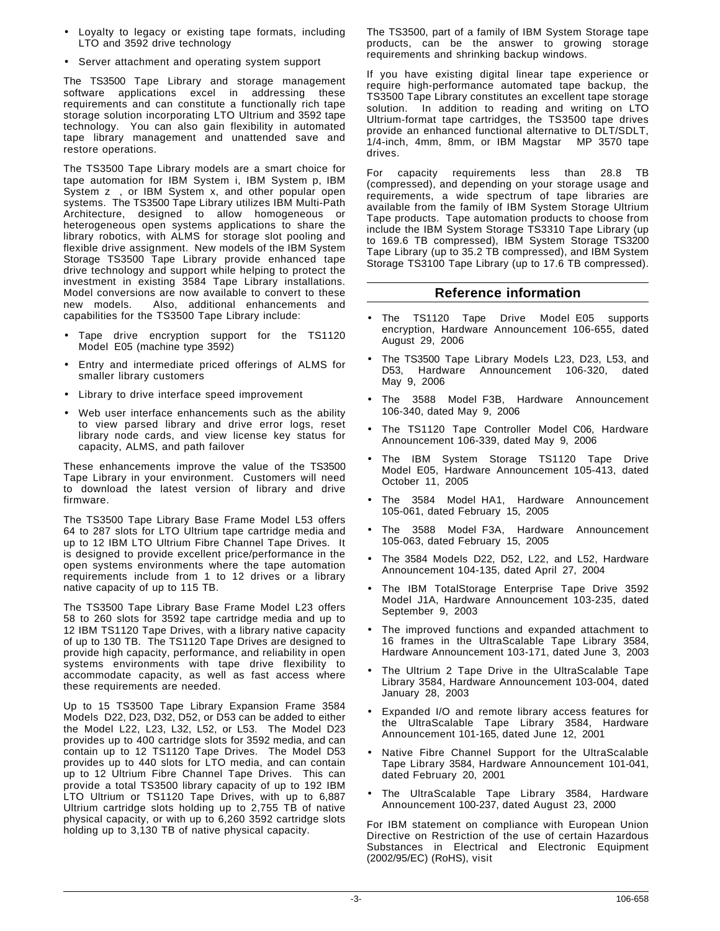- Loyalty to legacy or existing tape formats, including LTO and 3592 drive technology
- Server attachment and operating system support

The TS3500 Tape Library and storage management software applications excel in addressing these requirements and can constitute a functionally rich tape storage solution incorporating LTO Ultrium and 3592 tape technology. You can also gain flexibility in automated tape library management and unattended save and restore operations.

The TS3500 Tape Library models are a smart choice for tape automation for IBM System i, IBM System p, IBM System  $z^{<sub>m</sub>}$ , or IBM System x, and other popular open systems. The TS3500 Tape Library utilizes IBM Multi-Path Architecture, designed to allow homogeneous or heterogeneous open systems applications to share the library robotics, with ALMS for storage slot pooling and flexible drive assignment. New models of the IBM System Storage TS3500 Tape Library provide enhanced tape drive technology and support while helping to protect the investment in existing 3584 Tape Library installations. Model conversions are now available to convert to these new models. Also, additional enhancements and capabilities for the TS3500 Tape Library include:

- Tape drive encryption support for the TS1120 Model E05 (machine type 3592)
- Entry and intermediate priced offerings of ALMS for smaller library customers
- Library to drive interface speed improvement
- Web user interface enhancements such as the ability to view parsed library and drive error logs, reset library node cards, and view license key status for capacity, ALMS, and path failover

These enhancements improve the value of the TS3500 Tape Library in your environment. Customers will need to download the latest version of library and drive firmware.

The TS3500 Tape Library Base Frame Model L53 offers 64 to 287 slots for LTO Ultrium tape cartridge media and up to 12 IBM LTO Ultrium Fibre Channel Tape Drives. It is designed to provide excellent price/performance in the open systems environments where the tape automation requirements include from 1 to 12 drives or a library native capacity of up to 115 TB.

The TS3500 Tape Library Base Frame Model L23 offers 58 to 260 slots for 3592 tape cartridge media and up to 12 IBM TS1120 Tape Drives, with a library native capacity of up to 130 TB. The TS1120 Tape Drives are designed to provide high capacity, performance, and reliability in open systems environments with tape drive flexibility to accommodate capacity, as well as fast access where these requirements are needed.

Up to 15 TS3500 Tape Library Expansion Frame 3584 Models D22, D23, D32, D52, or D53 can be added to either the Model L22, L23, L32, L52, or L53. The Model D23 provides up to 400 cartridge slots for 3592 media, and can contain up to 12 TS1120 Tape Drives. The Model D53 provides up to 440 slots for LTO media, and can contain up to 12 Ultrium Fibre Channel Tape Drives. This can provide a total TS3500 library capacity of up to 192 IBM LTO Ultrium or TS1120 Tape Drives, with up to 6,887 Ultrium cartridge slots holding up to 2,755 TB of native physical capacity, or with up to 6,260 3592 cartridge slots holding up to 3,130 TB of native physical capacity.

The TS3500, part of a family of IBM System Storage tape products, can be the answer to growing storage requirements and shrinking backup windows.

If you have existing digital linear tape experience or require high-performance automated tape backup, the TS3500 Tape Library constitutes an excellent tape storage solution. In addition to reading and writing on LTO Ultrium-format tape cartridges, the TS3500 tape drives provide an enhanced functional alternative to DLT/SDLT, 1/4-inch, 4mm, 8mm, or IBM Magstar® MP 3570 tape drives.

For capacity requirements less than 28.8 TB (compressed), and depending on your storage usage and requirements, a wide spectrum of tape libraries are available from the family of IBM System Storage Ultrium Tape products. Tape automation products to choose from include the IBM System Storage TS3310 Tape Library (up to 169.6 TB compressed), IBM System Storage TS3200 Tape Library (up to 35.2 TB compressed), and IBM System Storage TS3100 Tape Library (up to 17.6 TB compressed).

## **Reference information**

- The TS1120 Tape Drive Model E05 supports encryption, Hardware Announcement 106-655, dated August 29, 2006
- The TS3500 Tape Library Models L23, D23, L53, and D53, Hardware Announcement 106-320, dated May 9, 2006
- The 3588 Model F3B, Hardware Announcement 106-340, dated May 9, 2006
- The TS1120 Tape Controller Model C06, Hardware Announcement 106-339, dated May 9, 2006
- The IBM System Storage TS1120 Tape Drive Model E05, Hardware Announcement 105-413, dated October 11, 2005
- The 3584 Model HA1, Hardware Announcement 105-061, dated February 15, 2005
- The 3588 Model F3A, Hardware Announcement 105-063, dated February 15, 2005
- The 3584 Models D22, D52, L22, and L52, Hardware Announcement 104-135, dated April 27, 2004
- The IBM TotalStorage Enterprise Tape Drive 3592 Model J1A, Hardware Announcement 103-235, dated September 9, 2003
- The improved functions and expanded attachment to 16 frames in the UltraScalable Tape Library 3584, Hardware Announcement 103-171, dated June 3, 2003
- The Ultrium 2 Tape Drive in the UltraScalable Tape Library 3584, Hardware Announcement 103-004, dated January 28, 2003
- Expanded I/O and remote library access features for the UltraScalable Tape Library 3584, Hardware Announcement 101-165, dated June 12, 2001
- Native Fibre Channel Support for the UltraScalable Tape Library 3584, Hardware Announcement 101-041, dated February 20, 2001
- The UltraScalable Tape Library 3584, Hardware Announcement 100-237, dated August 23, 2000

For IBM statement on compliance with European Union Directive on Restriction of the use of certain Hazardous Substances in Electrical and Electronic Equipment (2002/95/EC) (RoHS), visit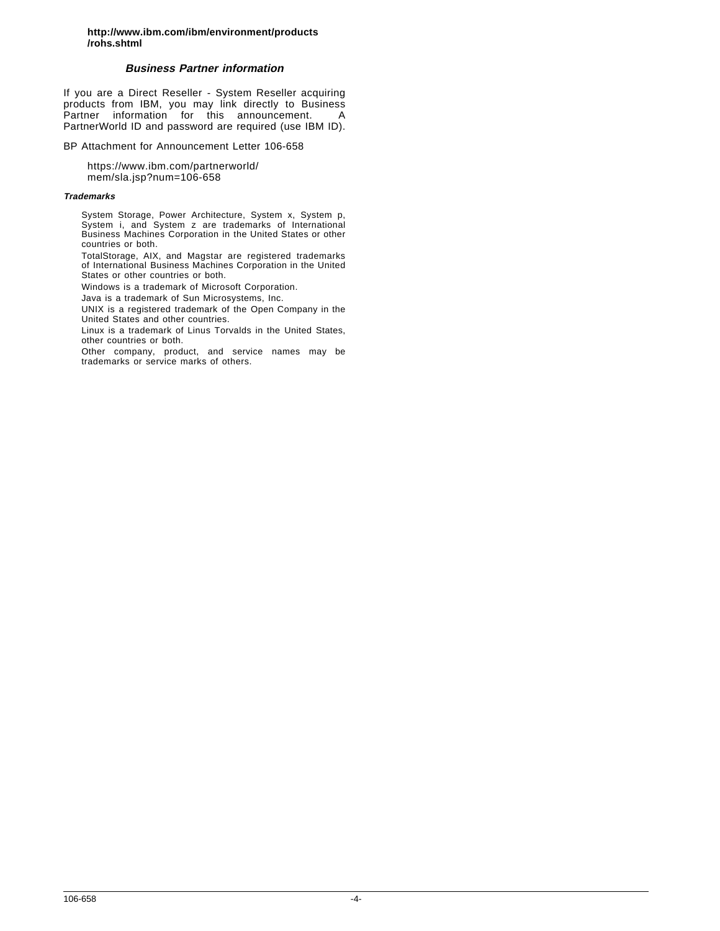**http://www.ibm.com/ibm/environment/products /rohs.shtml**

## **Business Partner information**

If you are a Direct Reseller - System Reseller acquiring products from IBM, you may link directly to Business Partner information for this announcement. A PartnerWorld ID and password are required (use IBM ID).

BP Attachment for Announcement Letter 106-658

https://www.ibm.com/partnerworld/ mem/sla.jsp?num=106-658

#### **Trademarks**

System Storage, Power Architecture, System x, System p, System i, and System z are trademarks of International Business Machines Corporation in the United States or other countries or both.

TotalStorage, AIX, and Magstar are registered trademarks of International Business Machines Corporation in the United States or other countries or both.

Windows is a trademark of Microsoft Corporation.

Java is a trademark of Sun Microsystems, Inc.

UNIX is a registered trademark of the Open Company in the United States and other countries.

Linux is a trademark of Linus Torvalds in the United States, other countries or both.

Other company, product, and service names may be trademarks or service marks of others.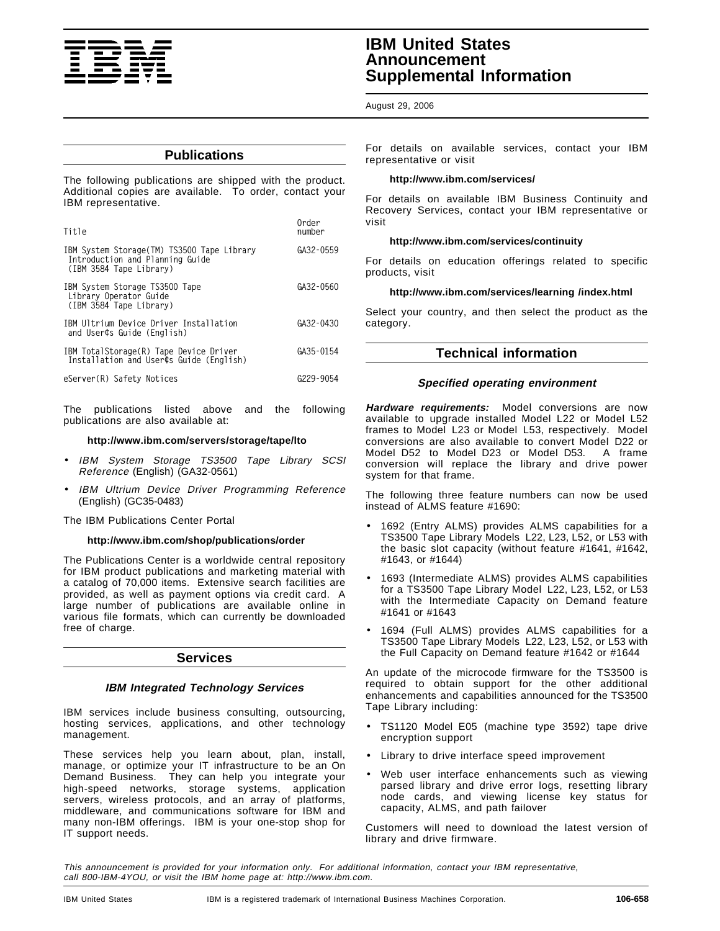

# **IBM United States Announcement Supplemental Information**

## August 29, 2006

## **Publications**

The following publications are shipped with the product. Additional copies are available. To order, contact your IBM representative.

| Title                                                                                                     | Order<br>number |
|-----------------------------------------------------------------------------------------------------------|-----------------|
| IBM System Storage (TM) TS3500 Tape Library<br>Introduction and Planning Guide<br>(IBM 3584 Tape Library) | GA32-0559       |
| IBM System Storage TS3500 Tape<br>Library Operator Guide<br>(IBM 3584 Tape Library)                       | GA32-0560       |
| IBM Ultrium Device Driver Installation<br>and User¢s Guide (English)                                      | GA32-0430       |
| IBM TotalStorage(R) Tape Device Driver<br>Installation and User¢s Guide (English)                         | GA35-0154       |
| eServer(R) Safety Notices                                                                                 | G229-9054       |

The publications listed above and the following publications are also available at:

#### **http://www.ibm.com/servers/storage/tape/lto**

- IBM System Storage TS3500 Tape Library SCSI Reference (English) (GA32-0561)
- IBM Ultrium Device Driver Programming Reference (English) (GC35-0483)

The IBM Publications Center Portal

## **http://www.ibm.com/shop/publications/order**

The Publications Center is a worldwide central repository for IBM product publications and marketing material with a catalog of 70,000 items. Extensive search facilities are provided, as well as payment options via credit card. A large number of publications are available online in various file formats, which can currently be downloaded free of charge.

## **Services**

## **IBM Integrated Technology Services**

IBM services include business consulting, outsourcing, hosting services, applications, and other technology management.

These services help you learn about, plan, install, manage, or optimize your IT infrastructure to be an On Demand Business. They can help you integrate your high-speed networks, storage systems, application servers, wireless protocols, and an array of platforms, middleware, and communications software for IBM and many non-IBM offerings. IBM is your one-stop shop for IT support needs.

For details on available services, contact your IBM representative or visit

#### **http://www.ibm.com/services/**

For details on available IBM Business Continuity and Recovery Services, contact your IBM representative or visit

#### **http://www.ibm.com/services/continuity**

For details on education offerings related to specific products, visit

#### **http://www.ibm.com/services/learning /index.html**

Select your country, and then select the product as the category.

## **Technical information**

## **Specified operating environment**

**Hardware requirements:** Model conversions are now available to upgrade installed Model L22 or Model L52 frames to Model L23 or Model L53, respectively. Model conversions are also available to convert Model D22 or Model D52 to Model D23 or Model D53. A frame conversion will replace the library and drive power system for that frame.

The following three feature numbers can now be used instead of ALMS feature #1690:

- 1692 (Entry ALMS) provides ALMS capabilities for a TS3500 Tape Library Models L22, L23, L52, or L53 with the basic slot capacity (without feature #1641, #1642, #1643, or #1644)
- 1693 (Intermediate ALMS) provides ALMS capabilities for a TS3500 Tape Library Model L22, L23, L52, or L53 with the Intermediate Capacity on Demand feature #1641 or #1643
- 1694 (Full ALMS) provides ALMS capabilities for a TS3500 Tape Library Models L22, L23, L52, or L53 with the Full Capacity on Demand feature #1642 or #1644

An update of the microcode firmware for the TS3500 is required to obtain support for the other additional enhancements and capabilities announced for the TS3500 Tape Library including:

- TS1120 Model E05 (machine type 3592) tape drive encryption support
- Library to drive interface speed improvement
- Web user interface enhancements such as viewing parsed library and drive error logs, resetting library node cards, and viewing license key status for capacity, ALMS, and path failover

Customers will need to download the latest version of library and drive firmware.

This announcement is provided for your information only. For additional information, contact your IBM representative, call 800-IBM-4YOU, or visit the IBM home page at: http://www.ibm.com.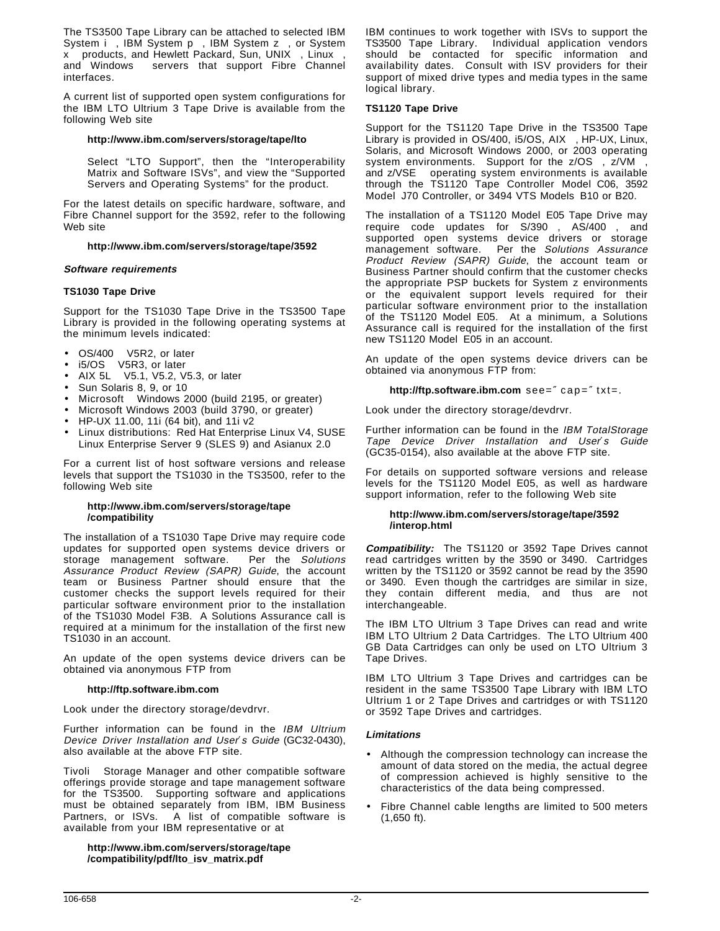The TS3500 Tape Library can be attached to selected IBM System i<sup>™</sup>, IBM System p<sup>™</sup>, IBM System z<sup>™</sup>, or System  $x^{\pi M}$  products, and Hewlett Packard, Sun, UNIX<sup>®</sup>, Linux<sup>™</sup>, and Windows<sup>™</sup> servers that support Fibre Channel interfaces.

A current list of supported open system configurations for the IBM LTO Ultrium 3 Tape Drive is available from the following Web site

## **http://www.ibm.com/servers/storage/tape/lto**

Select "LTO Support", then the "Interoperability Matrix and Software ISVs", and view the "Supported Servers and Operating Systems" for the product.

For the latest details on specific hardware, software, and Fibre Channel support for the 3592, refer to the following Web site

## **http://www.ibm.com/servers/storage/tape/3592**

## **Software requirements**

## **TS1030 Tape Drive**

Support for the TS1030 Tape Drive in the TS3500 Tape Library is provided in the following operating systems at the minimum levels indicated:

- OS/400<sup>®</sup> V5R2, or later
- $i5/OS<sup>TM</sup> V5R3$ , or later
- AIX 5L™ V5.1, V5.2, V5.3, or later
- Sun Solaris 8, 9, or 10
- Microsoft<sup>™</sup> Windows 2000 (build 2195, or greater)
- Microsoft Windows 2003 (build 3790, or greater)
- HP-UX 11.00, 11i (64 bit), and 11i v2
- Linux distributions: Red Hat Enterprise Linux V4, SUSE Linux Enterprise Server 9 (SLES 9) and Asianux 2.0

For a current list of host software versions and release levels that support the TS1030 in the TS3500, refer to the following Web site

## **http://www.ibm.com/servers/storage/tape /compatibility**

The installation of a TS1030 Tape Drive may require code updates for supported open systems device drivers or storage management software. Per the Solutions Assurance Product Review (SAPR) Guide, the account team or Business Partner should ensure that the customer checks the support levels required for their particular software environment prior to the installation of the TS1030 Model F3B. A Solutions Assurance call is required at a minimum for the installation of the first new TS1030 in an account.

An update of the open systems device drivers can be obtained via anonymous FTP from

## **http://ftp.software.ibm.com**

Look under the directory storage/devdrvr.

Further information can be found in the IBM Ultrium Device Driver Installation and User′s Guide (GC32-0430), also available at the above FTP site.

Tivoli<sup>®</sup> Storage Manager and other compatible software offerings provide storage and tape management software for the TS3500. Supporting software and applications must be obtained separately from IBM, IBM Business Partners, or ISVs. A list of compatible software is available from your IBM representative or at

## **http://www.ibm.com/servers/storage/tape /compatibility/pdf/lto\_isv\_matrix.pdf**

IBM continues to work together with ISVs to support the TS3500 Tape Library. Individual application vendors should be contacted for specific information and availability dates. Consult with ISV providers for their support of mixed drive types and media types in the same logical library.

## **TS1120 Tape Drive**

Support for the TS1120 Tape Drive in the TS3500 Tape Library is provided in  $OS/400$ ,  $i5/OS$ ,  $AIX@$ ,  $HP-UX$ , Linux, Solaris, and Microsoft Windows 2000, or 2003 operating system environments. Support for the z/OS®, z/VM®, and z/VSE® operating system environments is available through the TS1120 Tape Controller Model C06, 3592 Model J70 Controller, or 3494 VTS Models B10 or B20.

The installation of a TS1120 Model E05 Tape Drive may require code updates for S/390<sup>®</sup>, AS/400<sup>®</sup>, and supported open systems device drivers or storage management software. Per the Solutions Assurance Product Review (SAPR) Guide, the account team or Business Partner should confirm that the customer checks the appropriate PSP buckets for System z environments or the equivalent support levels required for their particular software environment prior to the installation of the TS1120 Model E05. At a minimum, a Solutions Assurance call is required for the installation of the first new TS1120 Model E05 in an account.

An update of the open systems device drivers can be obtained via anonymous FTP from:

**http://ftp.software.ibm.com** see=″ cap=″ txt=.

Look under the directory storage/devdrvr.

Further information can be found in the IBM TotalStorage Tape Device Driver Installation and User′s Guide (GC35-0154), also available at the above FTP site.

For details on supported software versions and release levels for the TS1120 Model E05, as well as hardware support information, refer to the following Web site

#### **http://www.ibm.com/servers/storage/tape/3592 /interop.html**

**Compatibility:** The TS1120 or 3592 Tape Drives cannot read cartridges written by the 3590 or 3490. Cartridges written by the TS1120 or 3592 cannot be read by the 3590 or 3490. Even though the cartridges are similar in size, they contain different media, and thus are not interchangeable.

The IBM LTO Ultrium 3 Tape Drives can read and write IBM LTO Ultrium 2 Data Cartridges. The LTO Ultrium 400 GB Data Cartridges can only be used on LTO Ultrium 3 Tape Drives.

IBM LTO Ultrium 3 Tape Drives and cartridges can be resident in the same TS3500 Tape Library with IBM LTO Ultrium 1 or 2 Tape Drives and cartridges or with TS1120 or 3592 Tape Drives and cartridges.

## **Limitations**

- Although the compression technology can increase the amount of data stored on the media, the actual degree of compression achieved is highly sensitive to the characteristics of the data being compressed.
- Fibre Channel cable lengths are limited to 500 meters (1,650 ft).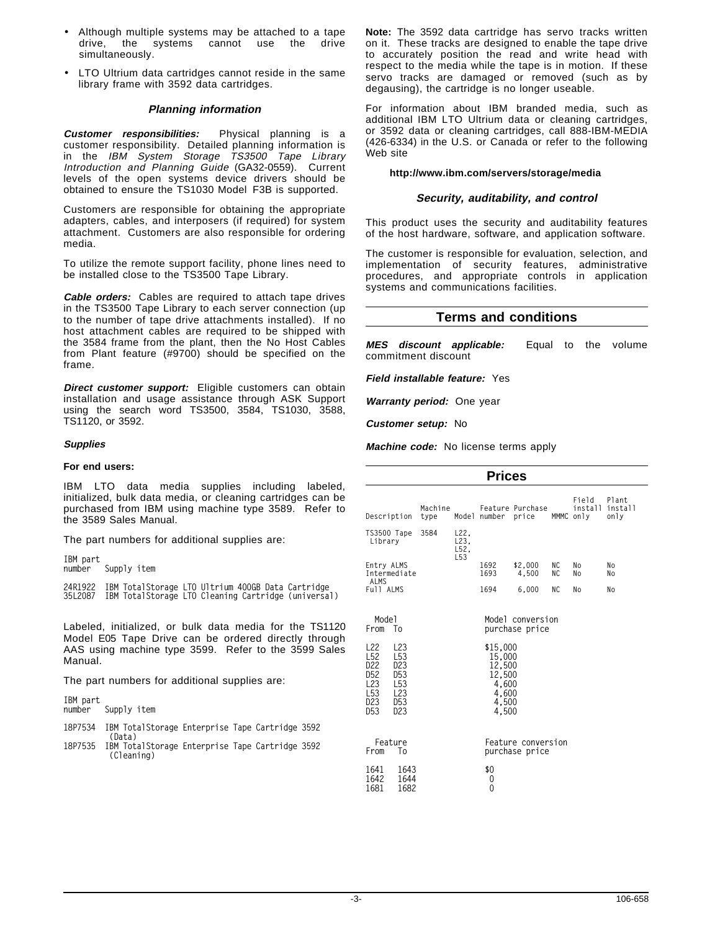- Although multiple systems may be attached to a tape<br>drive, the systems cannot use the drive cannot use simultaneously.
- LTO Ultrium data cartridges cannot reside in the same library frame with 3592 data cartridges.

## **Planning information**

**Customer responsibilities:** Physical planning is a customer responsibility. Detailed planning information is in the IBM System Storage TS3500 Tape Library Introduction and Planning Guide (GA32-0559). Current levels of the open systems device drivers should be obtained to ensure the TS1030 Model F3B is supported.

Customers are responsible for obtaining the appropriate adapters, cables, and interposers (if required) for system attachment. Customers are also responsible for ordering media.

To utilize the remote support facility, phone lines need to be installed close to the TS3500 Tape Library.

**Cable orders:** Cables are required to attach tape drives in the TS3500 Tape Library to each server connection (up to the number of tape drive attachments installed). If no host attachment cables are required to be shipped with the 3584 frame from the plant, then the No Host Cables from Plant feature (#9700) should be specified on the frame.

**Direct customer support:** Eligible customers can obtain installation and usage assistance through ASK Support using the search word TS3500, 3584, TS1030, 3588, TS1120, or 3592.

## **Supplies**

## **For end users:**

IBM LTO data media supplies including labeled, initialized, bulk data media, or cleaning cartridges can be purchased from IBM using machine type 3589. Refer to the 3589 Sales Manual.

The part numbers for additional supplies are:

**IBM part** Supply item

**24R1922 IBM TotalStorage LTO Ultrium 400GB Data Cartridge 35L2087 IBM TotalStorage LTO Cleaning Cartridge (universal)**

Labeled, initialized, or bulk data media for the TS1120 Model E05 Tape Drive can be ordered directly through AAS using machine type 3599. Refer to the 3599 Sales Manual.

The part numbers for additional supplies are:

**IBM part** Supply item

- **18P7534 IBM TotalStorage Enterprise Tape Cartridge 3592 (Data)**
- **18P7535 IBM TotalStorage Enterprise Tape Cartridge 3592 (Cleaning)**

**Note:** The 3592 data cartridge has servo tracks written on it. These tracks are designed to enable the tape drive to accurately position the read and write head with respect to the media while the tape is in motion. If these servo tracks are damaged or removed (such as by degausing), the cartridge is no longer useable.

For information about IBM branded media, such as additional IBM LTO Ultrium data or cleaning cartridges, or 3592 data or cleaning cartridges, call 888-IBM-MEDIA (426-6334) in the U.S. or Canada or refer to the following Web site

## **http://www.ibm.com/servers/storage/media**

## **Security, auditability, and control**

This product uses the security and auditability features of the host hardware, software, and application software.

The customer is responsible for evaluation, selection, and implementation of security features, administrative procedures, and appropriate controls in application systems and communications facilities.

## **Terms and conditions**

**MES discount applicable:** Equal to the volume commitment discount

**Field installable feature:** Yes

**Warranty period:** One year

**Customer setup:** No

**Machine code:** No license terms apply

| <b>Prices</b>                                                                                                                            |                                                                                                                              |                 |                                         |                                                                            |                                      |          |                               |                          |
|------------------------------------------------------------------------------------------------------------------------------------------|------------------------------------------------------------------------------------------------------------------------------|-----------------|-----------------------------------------|----------------------------------------------------------------------------|--------------------------------------|----------|-------------------------------|--------------------------|
| Description                                                                                                                              |                                                                                                                              | Machine<br>type |                                         | Model number                                                               | Feature Purchase<br>price            |          | Field<br>install<br>MMMC only | Plant<br>install<br>only |
| TS3500 Tape<br>Library                                                                                                                   |                                                                                                                              | 3584            | L22.<br>L23.<br>L52,<br>L <sub>53</sub> |                                                                            |                                      |          |                               |                          |
| Entry ALMS<br>Intermediate                                                                                                               |                                                                                                                              |                 |                                         | 1692<br>1693                                                               | \$2,000<br>4.500                     | ΝC<br>ΝC | No<br>No                      | No<br>No                 |
| <b>ALMS</b><br>Full ALMS                                                                                                                 |                                                                                                                              |                 |                                         | 1694                                                                       | 6,000                                | ΝC       | No                            | No                       |
| Mode1<br>From                                                                                                                            | - To                                                                                                                         |                 |                                         |                                                                            | Model conversion<br>purchase price   |          |                               |                          |
| L <sub>22</sub><br>L <sub>52</sub><br>D <sub>22</sub><br>D <sub>52</sub><br>L <sub>23</sub><br>L <sub>53</sub><br>D23<br>D <sub>53</sub> | L23<br>L <sub>53</sub><br>D <sub>23</sub><br>D <sub>53</sub><br>L <sub>53</sub><br>L <sub>23</sub><br>D <sub>53</sub><br>D23 |                 |                                         | \$15,000<br>15,000<br>12,500<br>12,500<br>4,600<br>4,600<br>4,500<br>4,500 |                                      |          |                               |                          |
| From                                                                                                                                     | Feature<br>Τo                                                                                                                |                 |                                         |                                                                            | Feature conversion<br>purchase price |          |                               |                          |
| 1641<br>1642<br>1681                                                                                                                     | 1643<br>1644<br>1682                                                                                                         |                 |                                         | \$0<br>0<br>0                                                              |                                      |          |                               |                          |